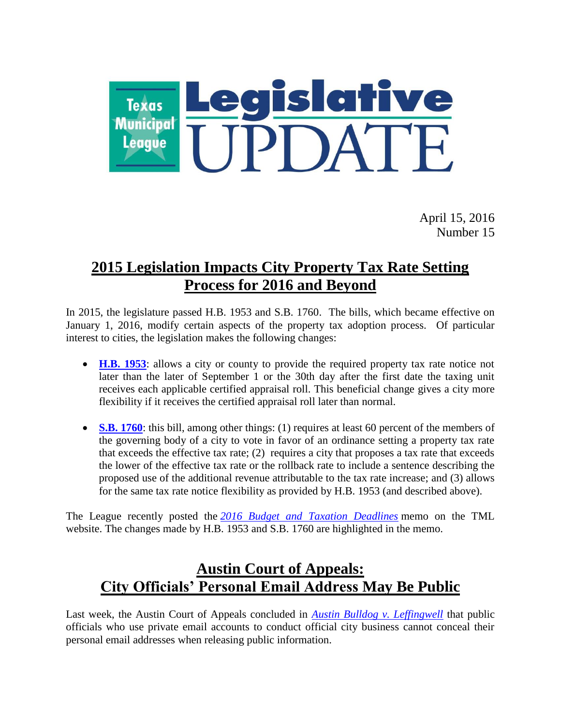

April 15, 2016 Number 15

## **2015 Legislation Impacts City Property Tax Rate Setting Process for 2016 and Beyond**

In 2015, the legislature passed H.B. 1953 and S.B. 1760. The bills, which became effective on January 1, 2016, modify certain aspects of the property tax adoption process. Of particular interest to cities, the legislation makes the following changes:

- **[H.B. 1953](http://www.legis.state.tx.us/tlodocs/84R/billtext/html/HB01953F.htm)**: allows a city or county to provide the required property tax rate notice not later than the later of September 1 or the 30th day after the first date the taxing unit receives each applicable certified appraisal roll. This beneficial change gives a city more flexibility if it receives the certified appraisal roll later than normal.
- **[S.B. 1760](http://www.legis.state.tx.us/tlodocs/84R/billtext/html/SB01760F.htm)**: this bill, among other things: (1) requires at least 60 percent of the members of the governing body of a city to vote in favor of an ordinance setting a property tax rate that exceeds the effective tax rate; (2) requires a city that proposes a tax rate that exceeds the lower of the effective tax rate or the rollback rate to include a sentence describing the proposed use of the additional revenue attributable to the tax rate increase; and (3) allows for the same tax rate notice flexibility as provided by H.B. 1953 (and described above).

The League recently posted the *[2016 Budget and Taxation Deadlines](http://www.tml.org/p/2016%20Tax%20and%20Budget%20Deadlines.pdf)* memo on the TML website. The changes made by H.B. 1953 and S.B. 1760 are highlighted in the memo.

## **Austin Court of Appeals: City Officials' Personal Email Address May Be Public**

Last week, the Austin Court of Appeals concluded in *[Austin Bulldog v. Leffingwell](http://www.search.txcourts.gov/SearchMedia.aspx?MediaVersionID=9219a4ed-fa5e-4bf4-ad54-5b9351534487&coa=coa03&DT=Opinion&MediaID=060ceb3a-05de-41f0-aee5-77eab8dbb6d3)* that public officials who use private email accounts to conduct official city business cannot conceal their personal email addresses when releasing public information.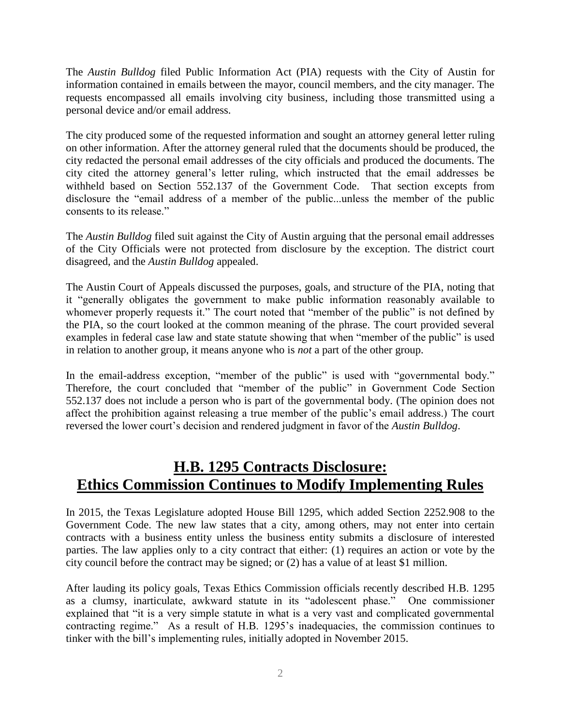The *Austin Bulldog* filed Public Information Act (PIA) requests with the City of Austin for information contained in emails between the mayor, council members, and the city manager. The requests encompassed all emails involving city business, including those transmitted using a personal device and/or email address.

The city produced some of the requested information and sought an attorney general letter ruling on other information. After the attorney general ruled that the documents should be produced, the city redacted the personal email addresses of the city officials and produced the documents. The city cited the attorney general's letter ruling, which instructed that the email addresses be withheld based on Section 552.137 of the Government Code. That section excepts from disclosure the "email address of a member of the public...unless the member of the public consents to its release."

The *Austin Bulldog* filed suit against the City of Austin arguing that the personal email addresses of the City Officials were not protected from disclosure by the exception. The district court disagreed, and the *Austin Bulldog* appealed.

The Austin Court of Appeals discussed the purposes, goals, and structure of the PIA, noting that it "generally obligates the government to make public information reasonably available to whomever properly requests it." The court noted that "member of the public" is not defined by the PIA, so the court looked at the common meaning of the phrase. The court provided several examples in federal case law and state statute showing that when "member of the public" is used in relation to another group, it means anyone who is *not* a part of the other group.

In the email-address exception, "member of the public" is used with "governmental body." Therefore, the court concluded that "member of the public" in Government Code Section 552.137 does not include a person who is part of the governmental body. (The opinion does not affect the prohibition against releasing a true member of the public's email address.) The court reversed the lower court's decision and rendered judgment in favor of the *Austin Bulldog*.

## **H.B. 1295 Contracts Disclosure: Ethics Commission Continues to Modify Implementing Rules**

In 2015, the Texas Legislature adopted House Bill 1295, which added Section 2252.908 to the Government Code. The new law states that a city, among others, may not enter into certain contracts with a business entity unless the business entity submits a disclosure of interested parties. The law applies only to a city contract that either: (1) requires an action or vote by the city council before the contract may be signed; or (2) has a value of at least \$1 million.

After lauding its policy goals, Texas Ethics Commission officials recently described H.B. 1295 as a clumsy, inarticulate, awkward statute in its "adolescent phase." One commissioner explained that "it is a very simple statute in what is a very vast and complicated governmental contracting regime." As a result of H.B. 1295's inadequacies, the commission continues to tinker with the bill's implementing rules, initially adopted in November 2015.